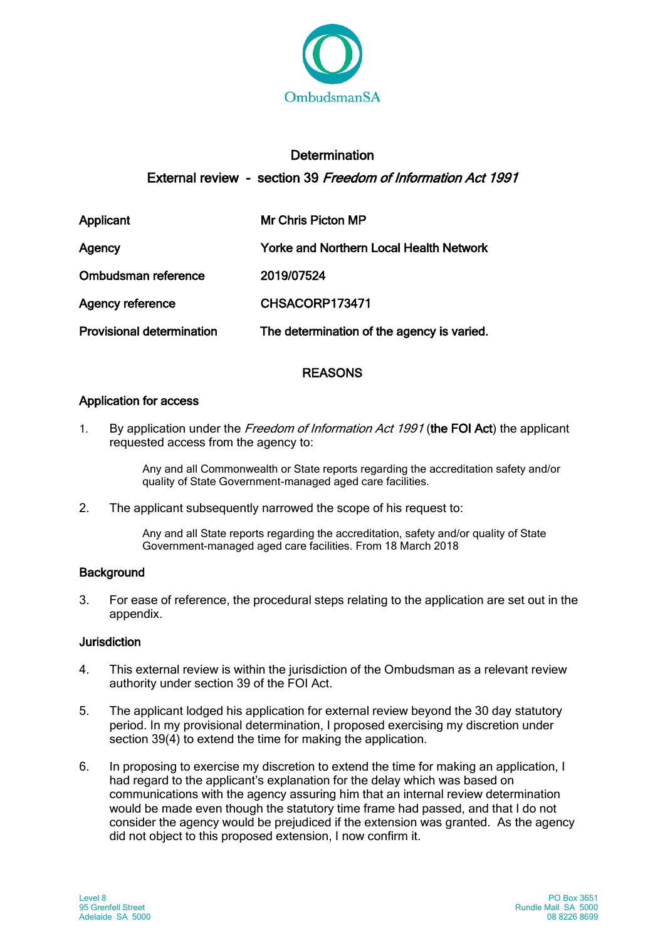

# **Determination** External review - section 39 Freedom of Information Act 1991

| Applicant                        | Mr Chris Picton MP                             |
|----------------------------------|------------------------------------------------|
| Agency                           | <b>Yorke and Northern Local Health Network</b> |
| Ombudsman reference              | 2019/07524                                     |
| <b>Agency reference</b>          | CHSACORP173471                                 |
| <b>Provisional determination</b> | The determination of the agency is varied.     |

# REASONS

# Application for access

1. By application under the Freedom of Information Act 1991 (the FOI Act) the applicant requested access from the agency to:

> Any and all Commonwealth or State reports regarding the accreditation safety and/or quality of State Government-managed aged care facilities.

2. The applicant subsequently narrowed the scope of his request to:

Any and all State reports regarding the accreditation, safety and/or quality of State Government-managed aged care facilities. From 18 March 2018

# **Background**

3. For ease of reference, the procedural steps relating to the application are set out in the appendix.

### Jurisdiction

- 4. This external review is within the jurisdiction of the Ombudsman as a relevant review authority under section 39 of the FOI Act.
- 5. The applicant lodged his application for external review beyond the 30 day statutory period. In my provisional determination, I proposed exercising my discretion under section 39(4) to extend the time for making the application.
- 6. In proposing to exercise my discretion to extend the time for making an application, I had regard to the applicant's explanation for the delay which was based on communications with the agency assuring him that an internal review determination would be made even though the statutory time frame had passed, and that I do not consider the agency would be prejudiced if the extension was granted. As the agency did not object to this proposed extension, I now confirm it.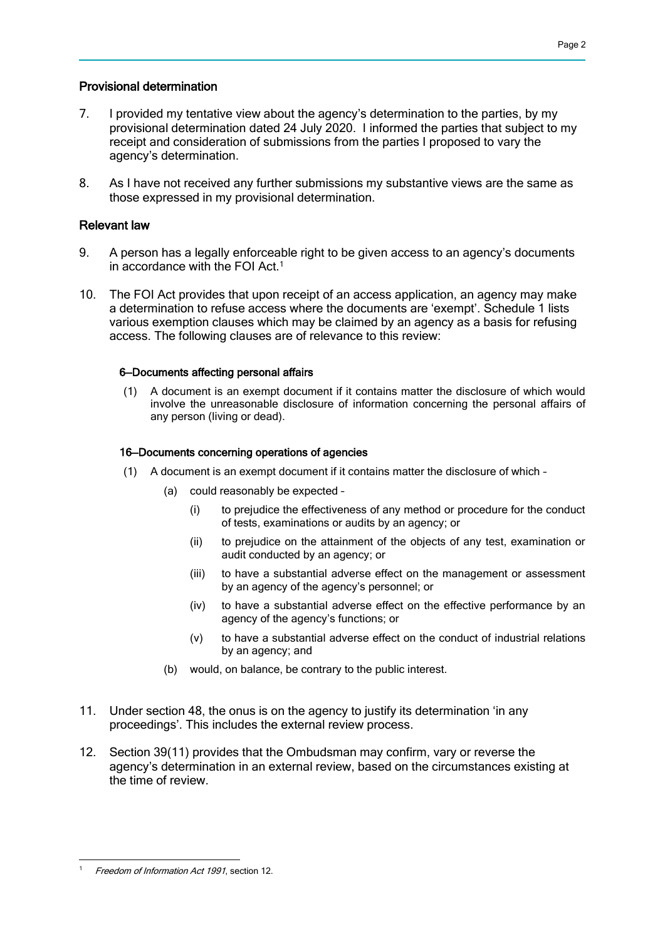## Provisional determination

- 7. I provided my tentative view about the agency's determination to the parties, by my provisional determination dated 24 July 2020. I informed the parties that subject to my receipt and consideration of submissions from the parties I proposed to vary the agency's determination.
- 8. As I have not received any further submissions my substantive views are the same as those expressed in my provisional determination.

# Relevant law

- 9. A person has a legally enforceable right to be given access to an agency's documents in accordance with the FOI Act.<sup>1</sup>
- 10. The FOI Act provides that upon receipt of an access application, an agency may make a determination to refuse access where the documents are 'exempt'. Schedule 1 lists various exemption clauses which may be claimed by an agency as a basis for refusing access. The following clauses are of relevance to this review:

### 6—Documents affecting personal affairs

(1) A document is an exempt document if it contains matter the disclosure of which would involve the unreasonable disclosure of information concerning the personal affairs of any person (living or dead).

### 16—Documents concerning operations of agencies

- (1) A document is an exempt document if it contains matter the disclosure of which
	- (a) could reasonably be expected
		- (i) to prejudice the effectiveness of any method or procedure for the conduct of tests, examinations or audits by an agency; or
		- (ii) to prejudice on the attainment of the objects of any test, examination or audit conducted by an agency; or
		- (iii) to have a substantial adverse effect on the management or assessment by an agency of the agency's personnel; or
		- (iv) to have a substantial adverse effect on the effective performance by an agency of the agency's functions; or
		- (v) to have a substantial adverse effect on the conduct of industrial relations by an agency; and
	- (b) would, on balance, be contrary to the public interest.
- 11. Under section 48, the onus is on the agency to justify its determination 'in any proceedings'. This includes the external review process.
- 12. Section 39(11) provides that the Ombudsman may confirm, vary or reverse the agency's determination in an external review, based on the circumstances existing at the time of review.

 Freedom of Information Act 1991, section 12.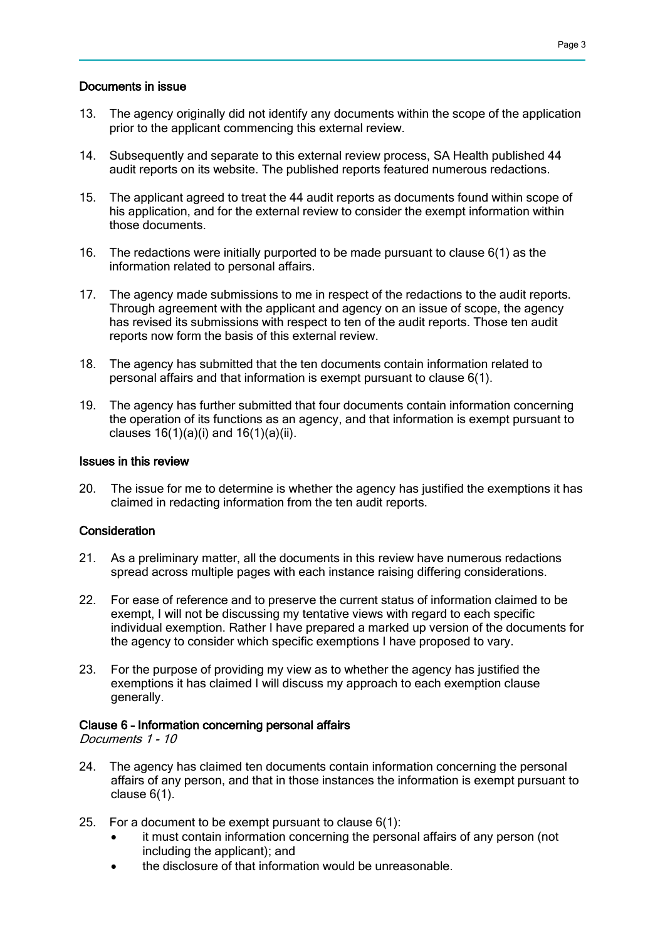### Documents in issue

- 13. The agency originally did not identify any documents within the scope of the application prior to the applicant commencing this external review.
- 14. Subsequently and separate to this external review process, SA Health published 44 audit reports on its website. The published reports featured numerous redactions.
- 15. The applicant agreed to treat the 44 audit reports as documents found within scope of his application, and for the external review to consider the exempt information within those documents.
- 16. The redactions were initially purported to be made pursuant to clause 6(1) as the information related to personal affairs.
- 17. The agency made submissions to me in respect of the redactions to the audit reports. Through agreement with the applicant and agency on an issue of scope, the agency has revised its submissions with respect to ten of the audit reports. Those ten audit reports now form the basis of this external review.
- 18. The agency has submitted that the ten documents contain information related to personal affairs and that information is exempt pursuant to clause 6(1).
- 19. The agency has further submitted that four documents contain information concerning the operation of its functions as an agency, and that information is exempt pursuant to clauses  $16(1)(a)(i)$  and  $16(1)(a)(ii)$ .

#### Issues in this review

20. The issue for me to determine is whether the agency has justified the exemptions it has claimed in redacting information from the ten audit reports.

#### **Consideration**

- 21. As a preliminary matter, all the documents in this review have numerous redactions spread across multiple pages with each instance raising differing considerations.
- 22. For ease of reference and to preserve the current status of information claimed to be exempt, I will not be discussing my tentative views with regard to each specific individual exemption. Rather I have prepared a marked up version of the documents for the agency to consider which specific exemptions I have proposed to vary.
- 23. For the purpose of providing my view as to whether the agency has justified the exemptions it has claimed I will discuss my approach to each exemption clause generally.

#### Clause 6 – Information concerning personal affairs

Documents 1 - 10

- 24. The agency has claimed ten documents contain information concerning the personal affairs of any person, and that in those instances the information is exempt pursuant to clause 6(1).
- 25. For a document to be exempt pursuant to clause 6(1):
	- it must contain information concerning the personal affairs of any person (not including the applicant); and
	- the disclosure of that information would be unreasonable.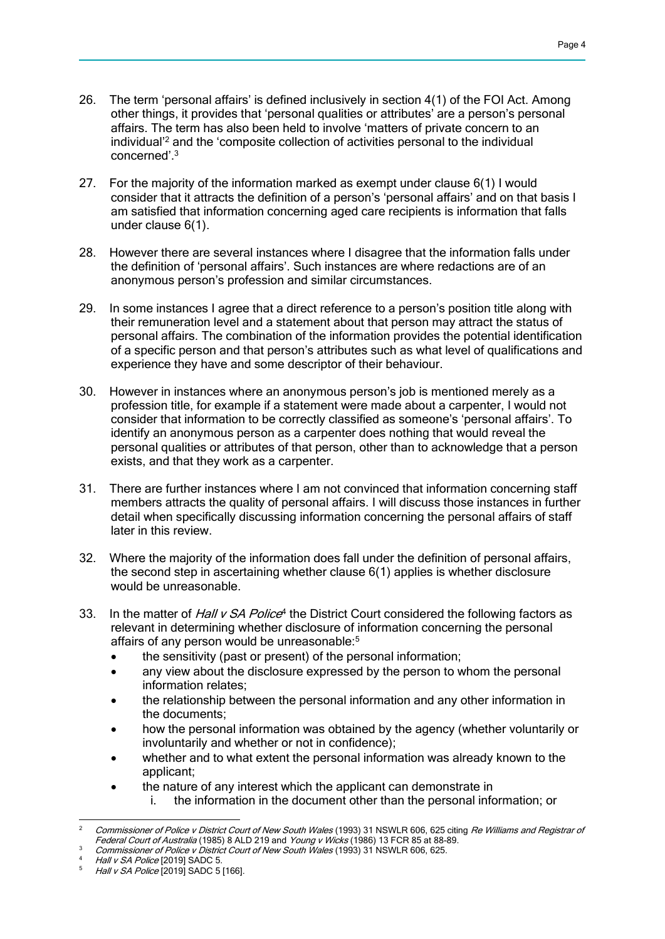- 26. The term 'personal affairs' is defined inclusively in section 4(1) of the FOI Act. Among other things, it provides that 'personal qualities or attributes' are a person's personal affairs. The term has also been held to involve 'matters of private concern to an individual'<sup>2</sup> and the 'composite collection of activities personal to the individual concerned'.<sup>3</sup>
- 27. For the majority of the information marked as exempt under clause 6(1) I would consider that it attracts the definition of a person's 'personal affairs' and on that basis I am satisfied that information concerning aged care recipients is information that falls under clause 6(1).
- 28. However there are several instances where I disagree that the information falls under the definition of 'personal affairs'. Such instances are where redactions are of an anonymous person's profession and similar circumstances.
- 29. In some instances I agree that a direct reference to a person's position title along with their remuneration level and a statement about that person may attract the status of personal affairs. The combination of the information provides the potential identification of a specific person and that person's attributes such as what level of qualifications and experience they have and some descriptor of their behaviour.
- 30. However in instances where an anonymous person's job is mentioned merely as a profession title, for example if a statement were made about a carpenter, I would not consider that information to be correctly classified as someone's 'personal affairs'. To identify an anonymous person as a carpenter does nothing that would reveal the personal qualities or attributes of that person, other than to acknowledge that a person exists, and that they work as a carpenter.
- 31. There are further instances where I am not convinced that information concerning staff members attracts the quality of personal affairs. I will discuss those instances in further detail when specifically discussing information concerning the personal affairs of staff later in this review.
- 32. Where the majority of the information does fall under the definition of personal affairs, the second step in ascertaining whether clause 6(1) applies is whether disclosure would be unreasonable.
- 33. In the matter of Hall v SA Police<sup>4</sup> the District Court considered the following factors as relevant in determining whether disclosure of information concerning the personal affairs of any person would be unreasonable:<sup>5</sup>
	- the sensitivity (past or present) of the personal information;
	- any view about the disclosure expressed by the person to whom the personal information relates;
	- the relationship between the personal information and any other information in the documents;
	- how the personal information was obtained by the agency (whether voluntarily or involuntarily and whether or not in confidence);
	- whether and to what extent the personal information was already known to the applicant;
	- the nature of any interest which the applicant can demonstrate in
		- i. the information in the document other than the personal information; or

 $\overline{a}$ <sup>2</sup> Commissioner of Police v District Court of New South Wales (1993) 31 NSWLR 606, 625 citing Re Williams and Registrar of Federal Court of Australia (1985) 8 ALD 219 and Young v Wicks (1986) 13 FCR 85 at 88-89.

Commissioner of Police v District Court of New South Wales (1993) 31 NSWLR 606, 625.

Hall v SA Police [2019] SADC 5.

Hall v SA Police [2019] SADC 5 [166].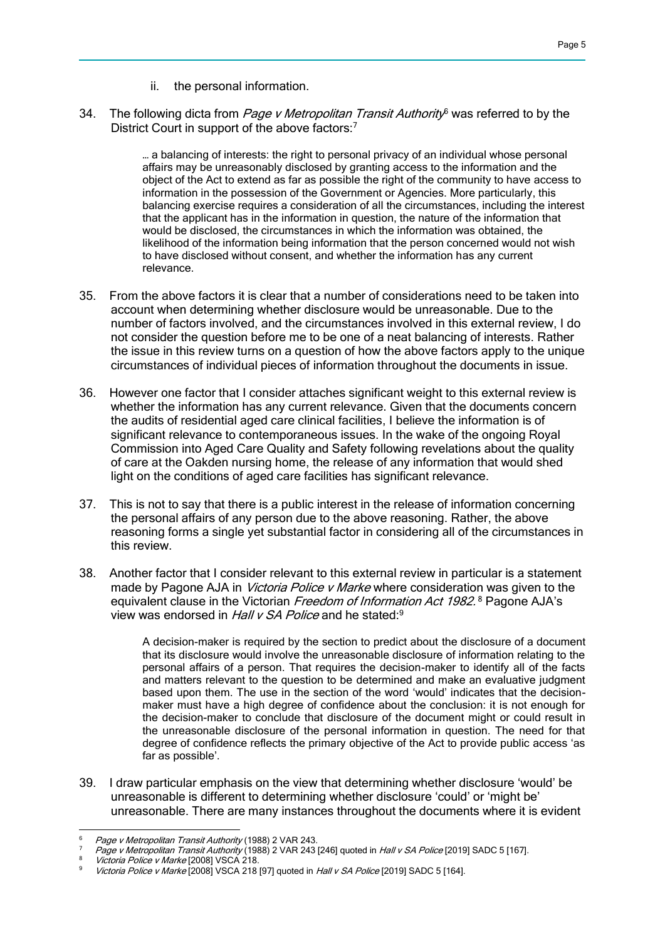- ii. the personal information.
- 34. The following dicta from *Page v Metropolitan Transit Authority*<sup>6</sup> was referred to by the District Court in support of the above factors:<sup>7</sup>

… a balancing of interests: the right to personal privacy of an individual whose personal affairs may be unreasonably disclosed by granting access to the information and the object of the Act to extend as far as possible the right of the community to have access to information in the possession of the Government or Agencies. More particularly, this balancing exercise requires a consideration of all the circumstances, including the interest that the applicant has in the information in question, the nature of the information that would be disclosed, the circumstances in which the information was obtained, the likelihood of the information being information that the person concerned would not wish to have disclosed without consent, and whether the information has any current relevance.

- 35. From the above factors it is clear that a number of considerations need to be taken into account when determining whether disclosure would be unreasonable. Due to the number of factors involved, and the circumstances involved in this external review, I do not consider the question before me to be one of a neat balancing of interests. Rather the issue in this review turns on a question of how the above factors apply to the unique circumstances of individual pieces of information throughout the documents in issue.
- 36. However one factor that I consider attaches significant weight to this external review is whether the information has any current relevance. Given that the documents concern the audits of residential aged care clinical facilities, I believe the information is of significant relevance to contemporaneous issues. In the wake of the ongoing Royal Commission into Aged Care Quality and Safety following revelations about the quality of care at the Oakden nursing home, the release of any information that would shed light on the conditions of aged care facilities has significant relevance.
- 37. This is not to say that there is a public interest in the release of information concerning the personal affairs of any person due to the above reasoning. Rather, the above reasoning forms a single yet substantial factor in considering all of the circumstances in this review.
- 38. Another factor that I consider relevant to this external review in particular is a statement made by Pagone AJA in *Victoria Police v Marke* where consideration was given to the equivalent clause in the Victorian Freedom of Information Act 1982.<sup>8</sup> Pagone AJA's view was endorsed in Hall v SA Police and he stated:<sup>9</sup>

A decision-maker is required by the section to predict about the disclosure of a document that its disclosure would involve the unreasonable disclosure of information relating to the personal affairs of a person. That requires the decision-maker to identify all of the facts and matters relevant to the question to be determined and make an evaluative judgment based upon them. The use in the section of the word 'would' indicates that the decisionmaker must have a high degree of confidence about the conclusion: it is not enough for the decision-maker to conclude that disclosure of the document might or could result in the unreasonable disclosure of the personal information in question. The need for that degree of confidence reflects the primary objective of the Act to provide public access 'as far as possible'.

39. I draw particular emphasis on the view that determining whether disclosure 'would' be unreasonable is different to determining whether disclosure 'could' or 'might be' unreasonable. There are many instances throughout the documents where it is evident

 $\overline{a}$ Page v Metropolitan Transit Authority (1988) 2 VAR 243.

Page v Metropolitan Transit Authority (1988) 2 VAR 243 [246] quoted in Hall v SA Police [2019] SADC 5 [167].

Victoria Police v Marke [2008] VSCA 218.

Victoria Police v Marke [2008] VSCA 218 [97] quoted in Hall v SA Police [2019] SADC 5 [164].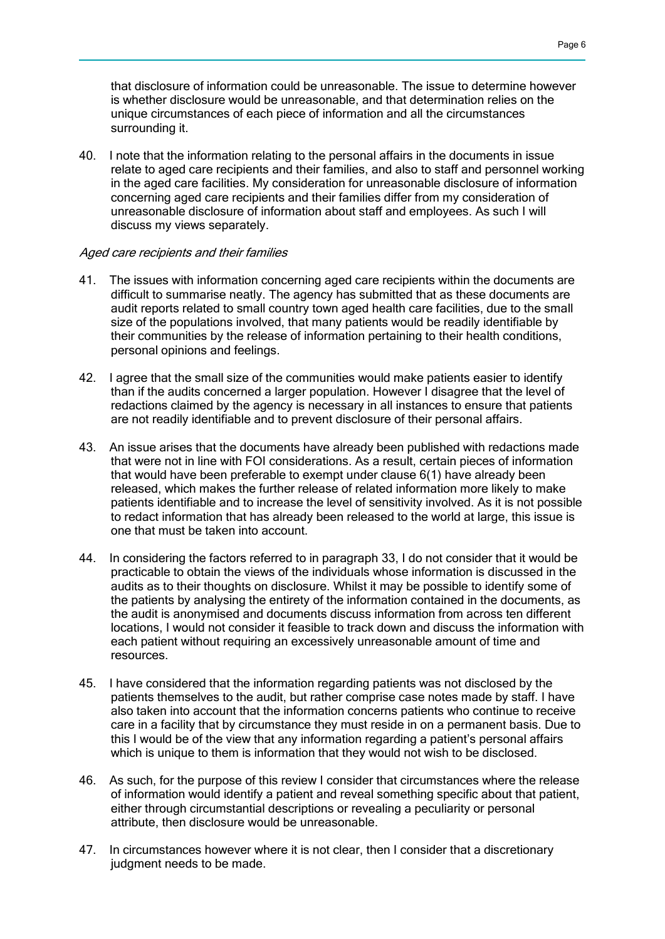that disclosure of information could be unreasonable. The issue to determine however is whether disclosure would be unreasonable, and that determination relies on the unique circumstances of each piece of information and all the circumstances surrounding it.

40. I note that the information relating to the personal affairs in the documents in issue relate to aged care recipients and their families, and also to staff and personnel working in the aged care facilities. My consideration for unreasonable disclosure of information concerning aged care recipients and their families differ from my consideration of unreasonable disclosure of information about staff and employees. As such I will discuss my views separately.

#### Aged care recipients and their families

- 41. The issues with information concerning aged care recipients within the documents are difficult to summarise neatly. The agency has submitted that as these documents are audit reports related to small country town aged health care facilities, due to the small size of the populations involved, that many patients would be readily identifiable by their communities by the release of information pertaining to their health conditions, personal opinions and feelings.
- 42. I agree that the small size of the communities would make patients easier to identify than if the audits concerned a larger population. However I disagree that the level of redactions claimed by the agency is necessary in all instances to ensure that patients are not readily identifiable and to prevent disclosure of their personal affairs.
- 43. An issue arises that the documents have already been published with redactions made that were not in line with FOI considerations. As a result, certain pieces of information that would have been preferable to exempt under clause 6(1) have already been released, which makes the further release of related information more likely to make patients identifiable and to increase the level of sensitivity involved. As it is not possible to redact information that has already been released to the world at large, this issue is one that must be taken into account.
- 44. In considering the factors referred to in paragraph 33, I do not consider that it would be practicable to obtain the views of the individuals whose information is discussed in the audits as to their thoughts on disclosure. Whilst it may be possible to identify some of the patients by analysing the entirety of the information contained in the documents, as the audit is anonymised and documents discuss information from across ten different locations, I would not consider it feasible to track down and discuss the information with each patient without requiring an excessively unreasonable amount of time and resources.
- 45. I have considered that the information regarding patients was not disclosed by the patients themselves to the audit, but rather comprise case notes made by staff. I have also taken into account that the information concerns patients who continue to receive care in a facility that by circumstance they must reside in on a permanent basis. Due to this I would be of the view that any information regarding a patient's personal affairs which is unique to them is information that they would not wish to be disclosed.
- 46. As such, for the purpose of this review I consider that circumstances where the release of information would identify a patient and reveal something specific about that patient, either through circumstantial descriptions or revealing a peculiarity or personal attribute, then disclosure would be unreasonable.
- 47. In circumstances however where it is not clear, then I consider that a discretionary judgment needs to be made.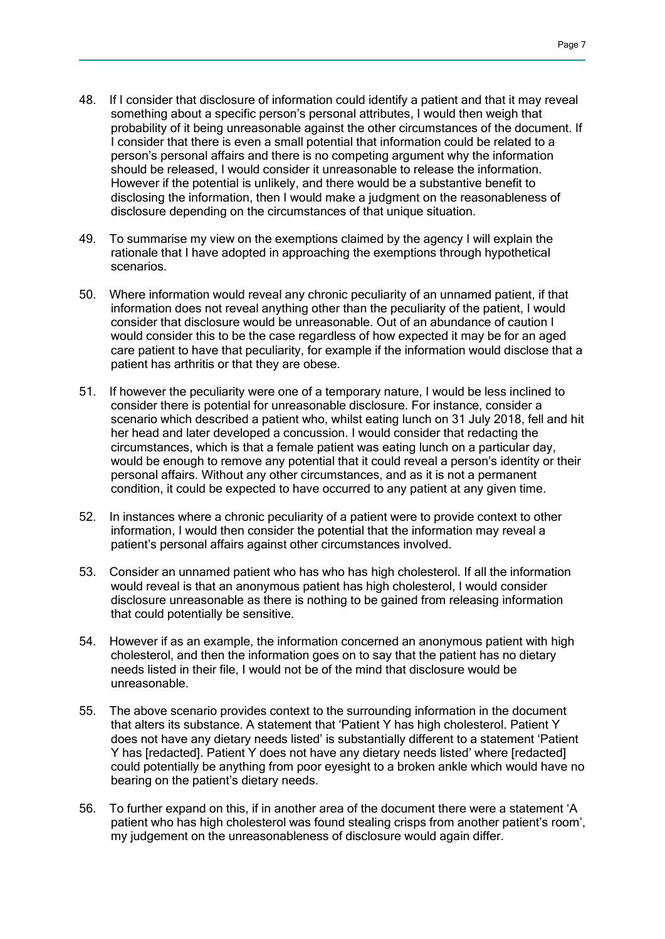- 48. If I consider that disclosure of information could identify a patient and that it may reveal something about a specific person's personal attributes, I would then weigh that probability of it being unreasonable against the other circumstances of the document. If I consider that there is even a small potential that information could be related to a person's personal affairs and there is no competing argument why the information should be released, I would consider it unreasonable to release the information. However if the potential is unlikely, and there would be a substantive benefit to disclosing the information, then I would make a judgment on the reasonableness of disclosure depending on the circumstances of that unique situation.
- 49. To summarise my view on the exemptions claimed by the agency I will explain the rationale that I have adopted in approaching the exemptions through hypothetical scenarios.
- 50. Where information would reveal any chronic peculiarity of an unnamed patient, if that information does not reveal anything other than the peculiarity of the patient, I would consider that disclosure would be unreasonable. Out of an abundance of caution I would consider this to be the case regardless of how expected it may be for an aged care patient to have that peculiarity, for example if the information would disclose that a patient has arthritis or that they are obese.
- 51. If however the peculiarity were one of a temporary nature, I would be less inclined to consider there is potential for unreasonable disclosure. For instance, consider a scenario which described a patient who, whilst eating lunch on 31 July 2018, fell and hit her head and later developed a concussion. I would consider that redacting the circumstances, which is that a female patient was eating lunch on a particular day, would be enough to remove any potential that it could reveal a person's identity or their personal affairs. Without any other circumstances, and as it is not a permanent condition, it could be expected to have occurred to any patient at any given time.
- 52. In instances where a chronic peculiarity of a patient were to provide context to other information, I would then consider the potential that the information may reveal a patient's personal affairs against other circumstances involved.
- 53. Consider an unnamed patient who has who has high cholesterol. If all the information would reveal is that an anonymous patient has high cholesterol, I would consider disclosure unreasonable as there is nothing to be gained from releasing information that could potentially be sensitive.
- 54. However if as an example, the information concerned an anonymous patient with high cholesterol, and then the information goes on to say that the patient has no dietary needs listed in their file, I would not be of the mind that disclosure would be unreasonable.
- 55. The above scenario provides context to the surrounding information in the document that alters its substance. A statement that 'Patient Y has high cholesterol. Patient Y does not have any dietary needs listed' is substantially different to a statement 'Patient Y has [redacted]. Patient Y does not have any dietary needs listed' where [redacted] could potentially be anything from poor eyesight to a broken ankle which would have no bearing on the patient's dietary needs.
- 56. To further expand on this, if in another area of the document there were a statement 'A patient who has high cholesterol was found stealing crisps from another patient's room', my judgement on the unreasonableness of disclosure would again differ.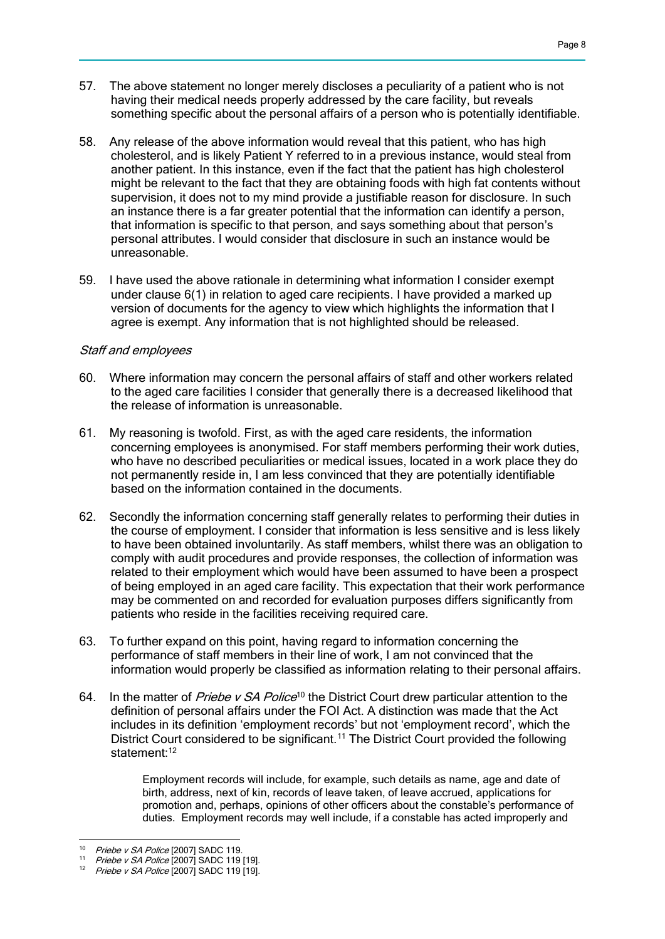- 57. The above statement no longer merely discloses a peculiarity of a patient who is not having their medical needs properly addressed by the care facility, but reveals something specific about the personal affairs of a person who is potentially identifiable.
- 58. Any release of the above information would reveal that this patient, who has high cholesterol, and is likely Patient Y referred to in a previous instance, would steal from another patient. In this instance, even if the fact that the patient has high cholesterol might be relevant to the fact that they are obtaining foods with high fat contents without supervision, it does not to my mind provide a justifiable reason for disclosure. In such an instance there is a far greater potential that the information can identify a person, that information is specific to that person, and says something about that person's personal attributes. I would consider that disclosure in such an instance would be unreasonable.
- 59. I have used the above rationale in determining what information I consider exempt under clause 6(1) in relation to aged care recipients. I have provided a marked up version of documents for the agency to view which highlights the information that I agree is exempt. Any information that is not highlighted should be released.

### Staff and employees

- 60. Where information may concern the personal affairs of staff and other workers related to the aged care facilities I consider that generally there is a decreased likelihood that the release of information is unreasonable.
- 61. My reasoning is twofold. First, as with the aged care residents, the information concerning employees is anonymised. For staff members performing their work duties, who have no described peculiarities or medical issues, located in a work place they do not permanently reside in, I am less convinced that they are potentially identifiable based on the information contained in the documents.
- 62. Secondly the information concerning staff generally relates to performing their duties in the course of employment. I consider that information is less sensitive and is less likely to have been obtained involuntarily. As staff members, whilst there was an obligation to comply with audit procedures and provide responses, the collection of information was related to their employment which would have been assumed to have been a prospect of being employed in an aged care facility. This expectation that their work performance may be commented on and recorded for evaluation purposes differs significantly from patients who reside in the facilities receiving required care.
- 63. To further expand on this point, having regard to information concerning the performance of staff members in their line of work, I am not convinced that the information would properly be classified as information relating to their personal affairs.
- 64. In the matter of *Priebe v SA Police*<sup>10</sup> the District Court drew particular attention to the definition of personal affairs under the FOI Act. A distinction was made that the Act includes in its definition 'employment records' but not 'employment record', which the District Court considered to be significant.<sup>11</sup> The District Court provided the following statement:<sup>12</sup>

Employment records will include, for example, such details as name, age and date of birth, address, next of kin, records of leave taken, of leave accrued, applications for promotion and, perhaps, opinions of other officers about the constable's performance of duties. Employment records may well include, if a constable has acted improperly and

 <sup>10</sup> *Priebe v SA Police* [2007] SADC 119.

<sup>11</sup> Priebe v SA Police [2007] SADC 119 [19].

*Priebe v SA Police* [2007] SADC 119 [19].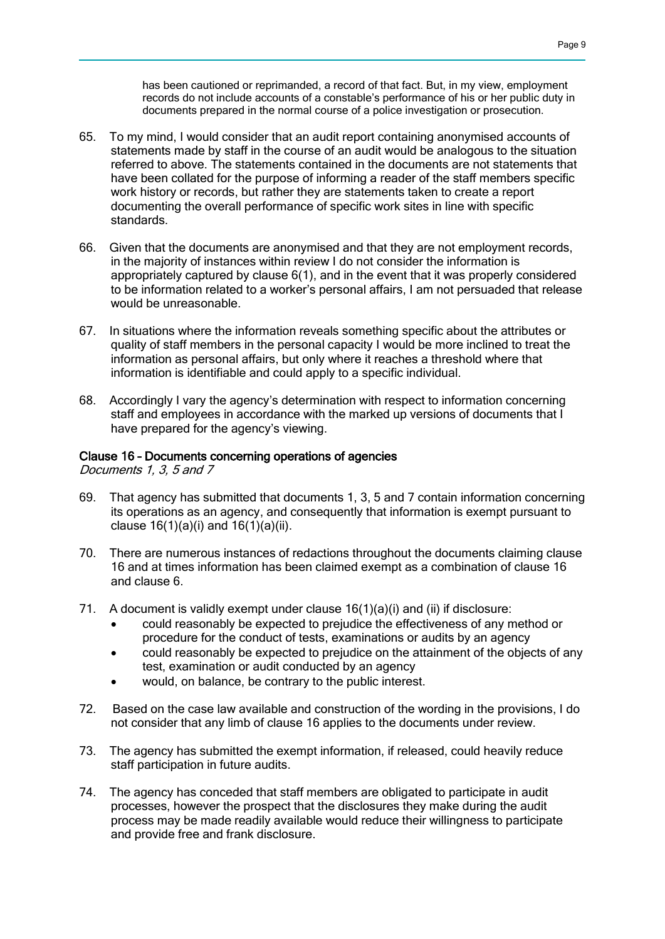has been cautioned or reprimanded, a record of that fact. But, in my view, employment records do not include accounts of a constable's performance of his or her public duty in documents prepared in the normal course of a police investigation or prosecution.

- 65. To my mind, I would consider that an audit report containing anonymised accounts of statements made by staff in the course of an audit would be analogous to the situation referred to above. The statements contained in the documents are not statements that have been collated for the purpose of informing a reader of the staff members specific work history or records, but rather they are statements taken to create a report documenting the overall performance of specific work sites in line with specific standards.
- 66. Given that the documents are anonymised and that they are not employment records, in the majority of instances within review I do not consider the information is appropriately captured by clause 6(1), and in the event that it was properly considered to be information related to a worker's personal affairs, I am not persuaded that release would be unreasonable.
- 67. In situations where the information reveals something specific about the attributes or quality of staff members in the personal capacity I would be more inclined to treat the information as personal affairs, but only where it reaches a threshold where that information is identifiable and could apply to a specific individual.
- 68. Accordingly I vary the agency's determination with respect to information concerning staff and employees in accordance with the marked up versions of documents that I have prepared for the agency's viewing.

#### Clause 16 – Documents concerning operations of agencies

Documents 1, 3, 5 and 7

- 69. That agency has submitted that documents 1, 3, 5 and 7 contain information concerning its operations as an agency, and consequently that information is exempt pursuant to clause  $16(1)(a)(i)$  and  $16(1)(a)(ii)$ .
- 70. There are numerous instances of redactions throughout the documents claiming clause 16 and at times information has been claimed exempt as a combination of clause 16 and clause 6.
- 71. A document is validly exempt under clause 16(1)(a)(i) and (ii) if disclosure:
	- could reasonably be expected to prejudice the effectiveness of any method or procedure for the conduct of tests, examinations or audits by an agency
	- could reasonably be expected to prejudice on the attainment of the objects of any test, examination or audit conducted by an agency
	- would, on balance, be contrary to the public interest.
- 72. Based on the case law available and construction of the wording in the provisions, I do not consider that any limb of clause 16 applies to the documents under review.
- 73. The agency has submitted the exempt information, if released, could heavily reduce staff participation in future audits.
- 74. The agency has conceded that staff members are obligated to participate in audit processes, however the prospect that the disclosures they make during the audit process may be made readily available would reduce their willingness to participate and provide free and frank disclosure.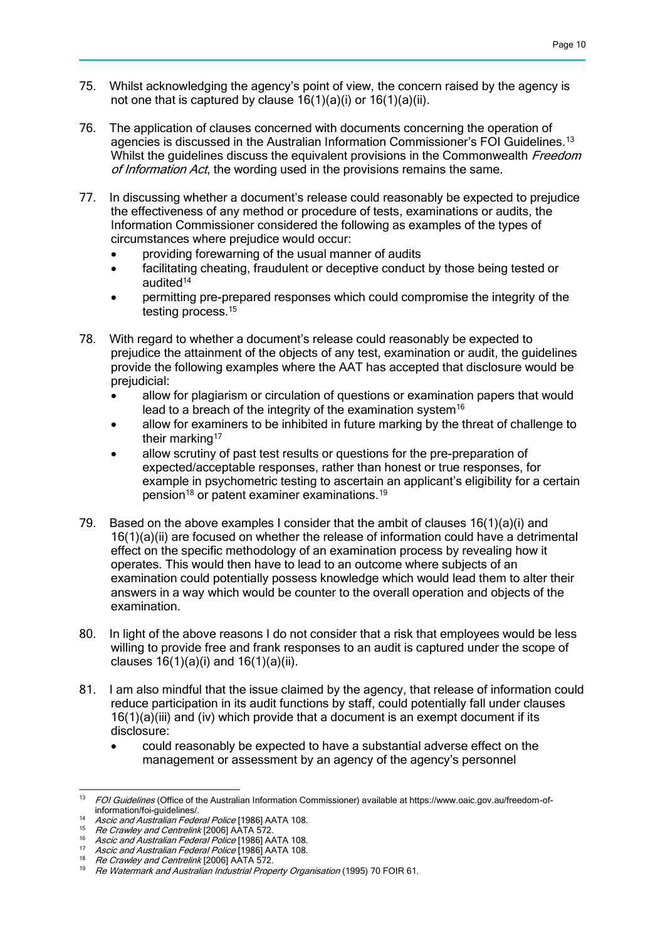- 75. Whilst acknowledging the agency's point of view, the concern raised by the agency is not one that is captured by clause 16(1)(a)(i) or 16(1)(a)(ii).
- 76. The application of clauses concerned with documents concerning the operation of agencies is discussed in the Australian Information Commissioner's FOI Guidelines.<sup>13</sup> Whilst the quidelines discuss the equivalent provisions in the Commonwealth Freedom of Information Act, the wording used in the provisions remains the same.
- 77. In discussing whether a document's release could reasonably be expected to prejudice the effectiveness of any method or procedure of tests, examinations or audits, the Information Commissioner considered the following as examples of the types of circumstances where prejudice would occur:
	- providing forewarning of the usual manner of audits
	- facilitating cheating, fraudulent or deceptive conduct by those being tested or audited<sup>14</sup>
	- permitting pre-prepared responses which could compromise the integrity of the testing process.<sup>15</sup>
- 78. With regard to whether a document's release could reasonably be expected to prejudice the attainment of the objects of any test, examination or audit, the guidelines provide the following examples where the AAT has accepted that disclosure would be prejudicial:
	- allow for plagiarism or circulation of questions or examination papers that would lead to a breach of the integrity of the examination system<sup>16</sup>
	- allow for examiners to be inhibited in future marking by the threat of challenge to their marking<sup>17</sup>
	- allow scrutiny of past test results or questions for the pre-preparation of expected/acceptable responses, rather than honest or true responses, for example in psychometric testing to ascertain an applicant's eligibility for a certain pension<sup>18</sup> or patent examiner examinations.<sup>19</sup>
- 79. Based on the above examples I consider that the ambit of clauses 16(1)(a)(i) and 16(1)(a)(ii) are focused on whether the release of information could have a detrimental effect on the specific methodology of an examination process by revealing how it operates. This would then have to lead to an outcome where subjects of an examination could potentially possess knowledge which would lead them to alter their answers in a way which would be counter to the overall operation and objects of the examination.
- 80. In light of the above reasons I do not consider that a risk that employees would be less willing to provide free and frank responses to an audit is captured under the scope of clauses  $16(1)(a)(i)$  and  $16(1)(a)(ii)$ .
- 81. I am also mindful that the issue claimed by the agency, that release of information could reduce participation in its audit functions by staff, could potentially fall under clauses 16(1)(a)(iii) and (iv) which provide that a document is an exempt document if its disclosure:
	- could reasonably be expected to have a substantial adverse effect on the management or assessment by an agency of the agency's personnel

 <sup>13</sup> FOI Guidelines (Office of the Australian Information Commissioner) available at https://www.oaic.gov.au/freedom-ofinformation/foi-guidelines/.

<sup>14</sup> Ascic and Australian Federal Police [1986] AATA 108.

<sup>15</sup> Re Crawley and Centrelink [2006] AATA 572.

<sup>&</sup>lt;sup>16</sup> Ascic and Australian Federal Police [1986] AATA 108.

<sup>&</sup>lt;sup>17</sup> Ascic and Australian Federal Police [1986] AATA 108.

<sup>18</sup> Re Crawley and Centrelink [2006] AATA 572.

<sup>&</sup>lt;sup>19</sup> Re Watermark and Australian Industrial Property Organisation (1995) 70 FOIR 61.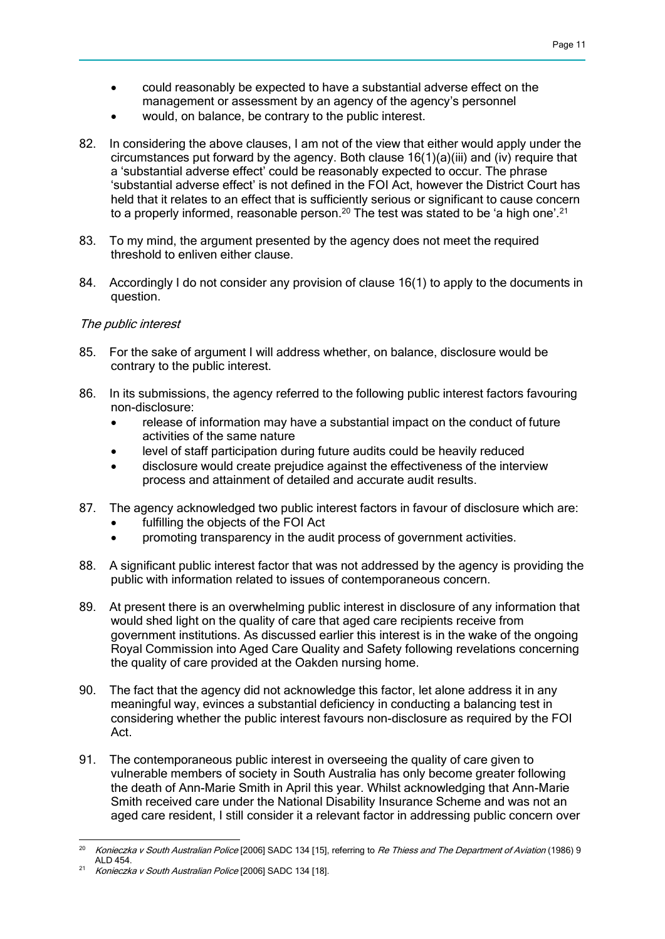- could reasonably be expected to have a substantial adverse effect on the management or assessment by an agency of the agency's personnel
- would, on balance, be contrary to the public interest.
- 82. In considering the above clauses, I am not of the view that either would apply under the circumstances put forward by the agency. Both clause 16(1)(a)(iii) and (iv) require that a 'substantial adverse effect' could be reasonably expected to occur. The phrase 'substantial adverse effect' is not defined in the FOI Act, however the District Court has held that it relates to an effect that is sufficiently serious or significant to cause concern to a properly informed, reasonable person.<sup>20</sup> The test was stated to be 'a high one'.<sup>21</sup>
- 83. To my mind, the argument presented by the agency does not meet the required threshold to enliven either clause.
- 84. Accordingly I do not consider any provision of clause 16(1) to apply to the documents in question.

## The public interest

- 85. For the sake of argument I will address whether, on balance, disclosure would be contrary to the public interest.
- 86. In its submissions, the agency referred to the following public interest factors favouring non-disclosure:
	- release of information may have a substantial impact on the conduct of future activities of the same nature
	- level of staff participation during future audits could be heavily reduced
	- disclosure would create prejudice against the effectiveness of the interview process and attainment of detailed and accurate audit results.
- 87. The agency acknowledged two public interest factors in favour of disclosure which are:
	- fulfilling the objects of the FOI Act
	- promoting transparency in the audit process of government activities.
- 88. A significant public interest factor that was not addressed by the agency is providing the public with information related to issues of contemporaneous concern.
- 89. At present there is an overwhelming public interest in disclosure of any information that would shed light on the quality of care that aged care recipients receive from government institutions. As discussed earlier this interest is in the wake of the ongoing Royal Commission into Aged Care Quality and Safety following revelations concerning the quality of care provided at the Oakden nursing home.
- 90. The fact that the agency did not acknowledge this factor, let alone address it in any meaningful way, evinces a substantial deficiency in conducting a balancing test in considering whether the public interest favours non-disclosure as required by the FOI Act.
- 91. The contemporaneous public interest in overseeing the quality of care given to vulnerable members of society in South Australia has only become greater following the death of Ann-Marie Smith in April this year. Whilst acknowledging that Ann-Marie Smith received care under the National Disability Insurance Scheme and was not an aged care resident, I still consider it a relevant factor in addressing public concern over

  $^{20}$  Konieczka v South Australian Police [2006] SADC 134 [15], referring to *Re Thiess and The Department of Aviation* (1986) 9 ALD 454.

<sup>21</sup> Konieczka v South Australian Police [2006] SADC 134 [18].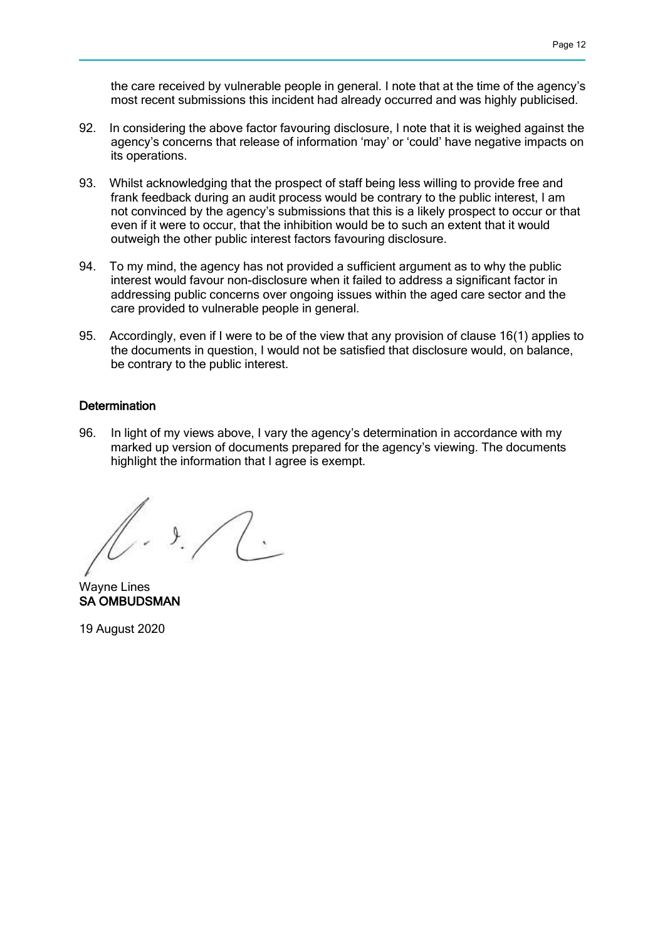the care received by vulnerable people in general. I note that at the time of the agency's most recent submissions this incident had already occurred and was highly publicised.

- 92. In considering the above factor favouring disclosure, I note that it is weighed against the agency's concerns that release of information 'may' or 'could' have negative impacts on its operations.
- 93. Whilst acknowledging that the prospect of staff being less willing to provide free and frank feedback during an audit process would be contrary to the public interest, I am not convinced by the agency's submissions that this is a likely prospect to occur or that even if it were to occur, that the inhibition would be to such an extent that it would outweigh the other public interest factors favouring disclosure.
- 94. To my mind, the agency has not provided a sufficient argument as to why the public interest would favour non-disclosure when it failed to address a significant factor in addressing public concerns over ongoing issues within the aged care sector and the care provided to vulnerable people in general.
- 95. Accordingly, even if I were to be of the view that any provision of clause 16(1) applies to the documents in question, I would not be satisfied that disclosure would, on balance, be contrary to the public interest.

### **Determination**

96. In light of my views above, I vary the agency's determination in accordance with my marked up version of documents prepared for the agency's viewing. The documents highlight the information that I agree is exempt.

 $\mathcal{L}$ .

Wayne Lines SA OMBUDSMAN

19 August 2020